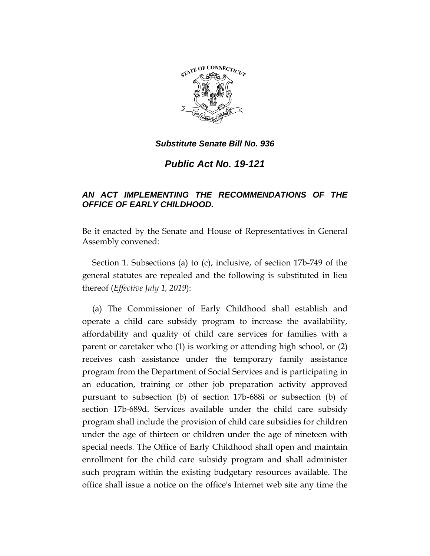

*Public Act No. 19-121*

# *AN ACT IMPLEMENTING THE RECOMMENDATIONS OF THE OFFICE OF EARLY CHILDHOOD.*

Be it enacted by the Senate and House of Representatives in General Assembly convened:

Section 1. Subsections (a) to (c), inclusive, of section 17b-749 of the general statutes are repealed and the following is substituted in lieu thereof (*Effective July 1, 2019*):

(a) The Commissioner of Early Childhood shall establish and operate a child care subsidy program to increase the availability, affordability and quality of child care services for families with a parent or caretaker who (1) is working or attending high school, or (2) receives cash assistance under the temporary family assistance program from the Department of Social Services and is participating in an education, training or other job preparation activity approved pursuant to subsection (b) of section 17b-688i or subsection (b) of section 17b-689d. Services available under the child care subsidy program shall include the provision of child care subsidies for children under the age of thirteen or children under the age of nineteen with special needs. The Office of Early Childhood shall open and maintain enrollment for the child care subsidy program and shall administer such program within the existing budgetary resources available. The office shall issue a notice on the office's Internet web site any time the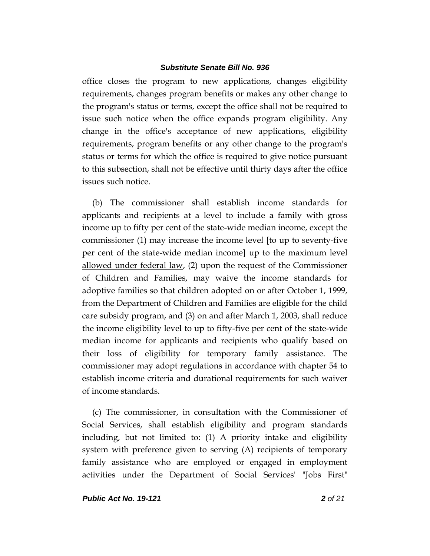office closes the program to new applications, changes eligibility requirements, changes program benefits or makes any other change to the program's status or terms, except the office shall not be required to issue such notice when the office expands program eligibility. Any change in the office's acceptance of new applications, eligibility requirements, program benefits or any other change to the program's status or terms for which the office is required to give notice pursuant to this subsection, shall not be effective until thirty days after the office issues such notice.

(b) The commissioner shall establish income standards for applicants and recipients at a level to include a family with gross income up to fifty per cent of the state-wide median income, except the commissioner (1) may increase the income level **[**to up to seventy-five per cent of the state-wide median income**]** up to the maximum level allowed under federal law, (2) upon the request of the Commissioner of Children and Families, may waive the income standards for adoptive families so that children adopted on or after October 1, 1999, from the Department of Children and Families are eligible for the child care subsidy program, and (3) on and after March 1, 2003, shall reduce the income eligibility level to up to fifty-five per cent of the state-wide median income for applicants and recipients who qualify based on their loss of eligibility for temporary family assistance. The commissioner may adopt regulations in accordance with chapter 54 to establish income criteria and durational requirements for such waiver of income standards.

(c) The commissioner, in consultation with the Commissioner of Social Services, shall establish eligibility and program standards including, but not limited to: (1) A priority intake and eligibility system with preference given to serving (A) recipients of temporary family assistance who are employed or engaged in employment activities under the Department of Social Services' "Jobs First"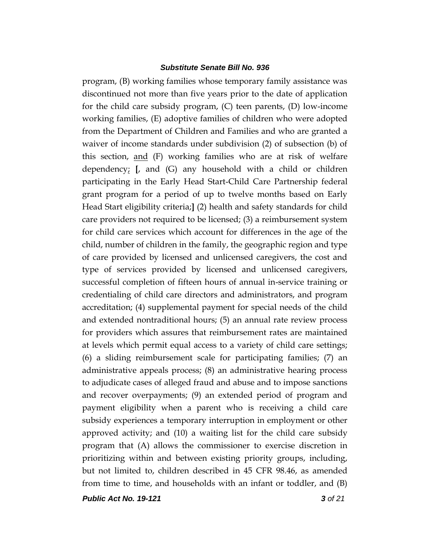program, (B) working families whose temporary family assistance was discontinued not more than five years prior to the date of application for the child care subsidy program, (C) teen parents, (D) low-income working families, (E) adoptive families of children who were adopted from the Department of Children and Families and who are granted a waiver of income standards under subdivision (2) of subsection (b) of this section, and (F) working families who are at risk of welfare dependency;  $\left[$ , and  $\left( G \right)$  any household with a child or children participating in the Early Head Start-Child Care Partnership federal grant program for a period of up to twelve months based on Early Head Start eligibility criteria;**]** (2) health and safety standards for child care providers not required to be licensed; (3) a reimbursement system for child care services which account for differences in the age of the child, number of children in the family, the geographic region and type of care provided by licensed and unlicensed caregivers, the cost and type of services provided by licensed and unlicensed caregivers, successful completion of fifteen hours of annual in-service training or credentialing of child care directors and administrators, and program accreditation; (4) supplemental payment for special needs of the child and extended nontraditional hours; (5) an annual rate review process for providers which assures that reimbursement rates are maintained at levels which permit equal access to a variety of child care settings; (6) a sliding reimbursement scale for participating families; (7) an administrative appeals process; (8) an administrative hearing process to adjudicate cases of alleged fraud and abuse and to impose sanctions and recover overpayments; (9) an extended period of program and payment eligibility when a parent who is receiving a child care subsidy experiences a temporary interruption in employment or other approved activity; and (10) a waiting list for the child care subsidy program that (A) allows the commissioner to exercise discretion in prioritizing within and between existing priority groups, including, but not limited to, children described in 45 CFR 98.46, as amended from time to time, and households with an infant or toddler, and (B)

*Public Act No. 19-121 3 of 21*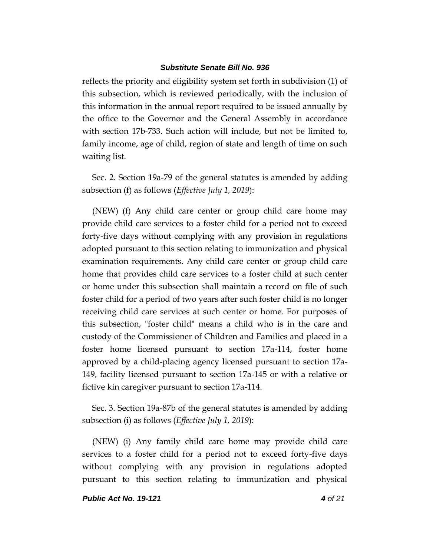reflects the priority and eligibility system set forth in subdivision (1) of this subsection, which is reviewed periodically, with the inclusion of this information in the annual report required to be issued annually by the office to the Governor and the General Assembly in accordance with section 17b-733. Such action will include, but not be limited to, family income, age of child, region of state and length of time on such waiting list.

Sec. 2. Section 19a-79 of the general statutes is amended by adding subsection (f) as follows (*Effective July 1, 2019*):

(NEW) (f) Any child care center or group child care home may provide child care services to a foster child for a period not to exceed forty-five days without complying with any provision in regulations adopted pursuant to this section relating to immunization and physical examination requirements. Any child care center or group child care home that provides child care services to a foster child at such center or home under this subsection shall maintain a record on file of such foster child for a period of two years after such foster child is no longer receiving child care services at such center or home. For purposes of this subsection, "foster child" means a child who is in the care and custody of the Commissioner of Children and Families and placed in a foster home licensed pursuant to section 17a-114, foster home approved by a child-placing agency licensed pursuant to section 17a-149, facility licensed pursuant to section 17a-145 or with a relative or fictive kin caregiver pursuant to section 17a-114.

Sec. 3. Section 19a-87b of the general statutes is amended by adding subsection (i) as follows (*Effective July 1, 2019*):

(NEW) (i) Any family child care home may provide child care services to a foster child for a period not to exceed forty-five days without complying with any provision in regulations adopted pursuant to this section relating to immunization and physical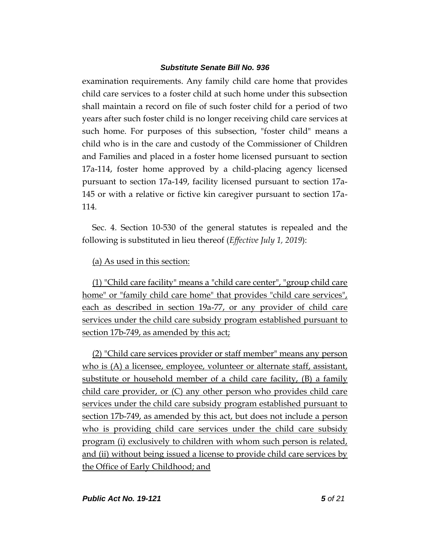examination requirements. Any family child care home that provides child care services to a foster child at such home under this subsection shall maintain a record on file of such foster child for a period of two years after such foster child is no longer receiving child care services at such home. For purposes of this subsection, "foster child" means a child who is in the care and custody of the Commissioner of Children and Families and placed in a foster home licensed pursuant to section 17a-114, foster home approved by a child-placing agency licensed pursuant to section 17a-149, facility licensed pursuant to section 17a-145 or with a relative or fictive kin caregiver pursuant to section 17a-114.

Sec. 4. Section 10-530 of the general statutes is repealed and the following is substituted in lieu thereof (*Effective July 1, 2019*):

## (a) As used in this section:

(1) "Child care facility" means a "child care center", "group child care home" or "family child care home" that provides "child care services", each as described in section 19a-77, or any provider of child care services under the child care subsidy program established pursuant to section 17b-749, as amended by this act;

(2) "Child care services provider or staff member" means any person who is (A) a licensee, employee, volunteer or alternate staff, assistant, substitute or household member of a child care facility, (B) a family child care provider, or (C) any other person who provides child care services under the child care subsidy program established pursuant to section 17b-749, as amended by this act, but does not include a person who is providing child care services under the child care subsidy program (i) exclusively to children with whom such person is related, and (ii) without being issued a license to provide child care services by the Office of Early Childhood; and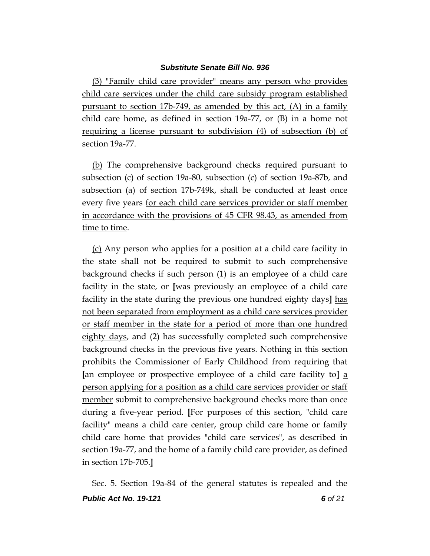(3) "Family child care provider" means any person who provides child care services under the child care subsidy program established pursuant to section 17b-749, as amended by this act, (A) in a family child care home, as defined in section 19a-77, or (B) in a home not requiring a license pursuant to subdivision (4) of subsection (b) of section 19a-77.

(b) The comprehensive background checks required pursuant to subsection (c) of section 19a-80, subsection (c) of section 19a-87b, and subsection (a) of section 17b-749k, shall be conducted at least once every five years for each child care services provider or staff member in accordance with the provisions of 45 CFR 98.43, as amended from time to time.

(c) Any person who applies for a position at a child care facility in the state shall not be required to submit to such comprehensive background checks if such person (1) is an employee of a child care facility in the state, or **[**was previously an employee of a child care facility in the state during the previous one hundred eighty days**]** has not been separated from employment as a child care services provider or staff member in the state for a period of more than one hundred eighty days, and (2) has successfully completed such comprehensive background checks in the previous five years. Nothing in this section prohibits the Commissioner of Early Childhood from requiring that **[**an employee or prospective employee of a child care facility to**]** a person applying for a position as a child care services provider or staff member submit to comprehensive background checks more than once during a five-year period. **[**For purposes of this section, "child care facility" means a child care center, group child care home or family child care home that provides "child care services", as described in section 19a-77, and the home of a family child care provider, as defined in section 17b-705.**]**

*Public Act No. 19-121 6 of 21* Sec. 5. Section 19a-84 of the general statutes is repealed and the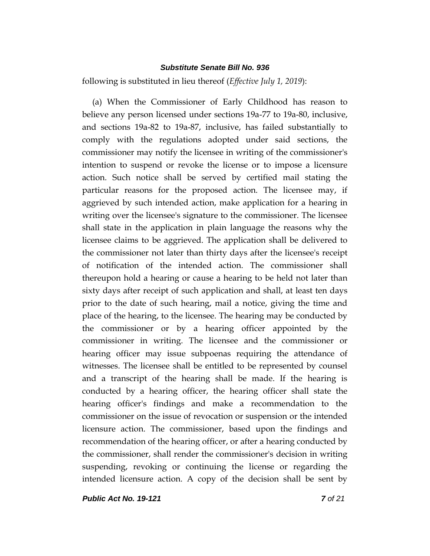following is substituted in lieu thereof (*Effective July 1, 2019*):

(a) When the Commissioner of Early Childhood has reason to believe any person licensed under sections 19a-77 to 19a-80, inclusive, and sections 19a-82 to 19a-87, inclusive, has failed substantially to comply with the regulations adopted under said sections, the commissioner may notify the licensee in writing of the commissioner's intention to suspend or revoke the license or to impose a licensure action. Such notice shall be served by certified mail stating the particular reasons for the proposed action. The licensee may, if aggrieved by such intended action, make application for a hearing in writing over the licensee's signature to the commissioner. The licensee shall state in the application in plain language the reasons why the licensee claims to be aggrieved. The application shall be delivered to the commissioner not later than thirty days after the licensee's receipt of notification of the intended action. The commissioner shall thereupon hold a hearing or cause a hearing to be held not later than sixty days after receipt of such application and shall, at least ten days prior to the date of such hearing, mail a notice, giving the time and place of the hearing, to the licensee. The hearing may be conducted by the commissioner or by a hearing officer appointed by the commissioner in writing. The licensee and the commissioner or hearing officer may issue subpoenas requiring the attendance of witnesses. The licensee shall be entitled to be represented by counsel and a transcript of the hearing shall be made. If the hearing is conducted by a hearing officer, the hearing officer shall state the hearing officer's findings and make a recommendation to the commissioner on the issue of revocation or suspension or the intended licensure action. The commissioner, based upon the findings and recommendation of the hearing officer, or after a hearing conducted by the commissioner, shall render the commissioner's decision in writing suspending, revoking or continuing the license or regarding the intended licensure action. A copy of the decision shall be sent by

*Public Act No. 19-121 7 of 21*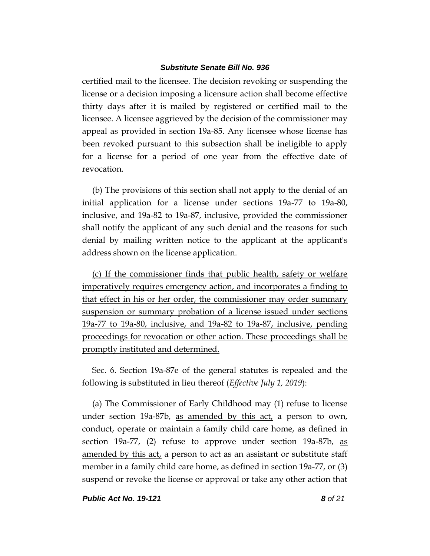certified mail to the licensee. The decision revoking or suspending the license or a decision imposing a licensure action shall become effective thirty days after it is mailed by registered or certified mail to the licensee. A licensee aggrieved by the decision of the commissioner may appeal as provided in section 19a-85. Any licensee whose license has been revoked pursuant to this subsection shall be ineligible to apply for a license for a period of one year from the effective date of revocation.

(b) The provisions of this section shall not apply to the denial of an initial application for a license under sections 19a-77 to 19a-80, inclusive, and 19a-82 to 19a-87, inclusive, provided the commissioner shall notify the applicant of any such denial and the reasons for such denial by mailing written notice to the applicant at the applicant's address shown on the license application.

(c) If the commissioner finds that public health, safety or welfare imperatively requires emergency action, and incorporates a finding to that effect in his or her order, the commissioner may order summary suspension or summary probation of a license issued under sections 19a-77 to 19a-80, inclusive, and 19a-82 to 19a-87, inclusive, pending proceedings for revocation or other action. These proceedings shall be promptly instituted and determined.

Sec. 6. Section 19a-87e of the general statutes is repealed and the following is substituted in lieu thereof (*Effective July 1, 2019*):

(a) The Commissioner of Early Childhood may (1) refuse to license under section 19a-87b, as amended by this act, a person to own, conduct, operate or maintain a family child care home, as defined in section 19a-77, (2) refuse to approve under section 19a-87b, as amended by this act, a person to act as an assistant or substitute staff member in a family child care home, as defined in section 19a-77, or (3) suspend or revoke the license or approval or take any other action that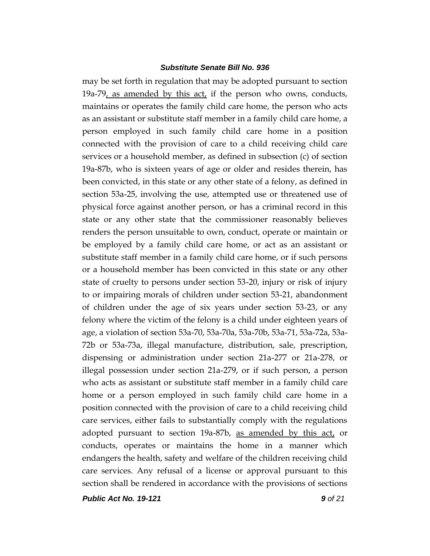may be set forth in regulation that may be adopted pursuant to section 19a-79, as amended by this act, if the person who owns, conducts, maintains or operates the family child care home, the person who acts as an assistant or substitute staff member in a family child care home, a person employed in such family child care home in a position connected with the provision of care to a child receiving child care services or a household member, as defined in subsection (c) of section 19a-87b, who is sixteen years of age or older and resides therein, has been convicted, in this state or any other state of a felony, as defined in section 53a-25, involving the use, attempted use or threatened use of physical force against another person, or has a criminal record in this state or any other state that the commissioner reasonably believes renders the person unsuitable to own, conduct, operate or maintain or be employed by a family child care home, or act as an assistant or substitute staff member in a family child care home, or if such persons or a household member has been convicted in this state or any other state of cruelty to persons under section 53-20, injury or risk of injury to or impairing morals of children under section 53-21, abandonment of children under the age of six years under section 53-23, or any felony where the victim of the felony is a child under eighteen years of age, a violation of section 53a-70, 53a-70a, 53a-70b, 53a-71, 53a-72a, 53a-72b or 53a-73a, illegal manufacture, distribution, sale, prescription, dispensing or administration under section 21a-277 or 21a-278, or illegal possession under section 21a-279, or if such person, a person who acts as assistant or substitute staff member in a family child care home or a person employed in such family child care home in a position connected with the provision of care to a child receiving child care services, either fails to substantially comply with the regulations adopted pursuant to section 19a-87b, as amended by this act, or conducts, operates or maintains the home in a manner which endangers the health, safety and welfare of the children receiving child care services. Any refusal of a license or approval pursuant to this section shall be rendered in accordance with the provisions of sections

*Public Act No. 19-121 9 of 21*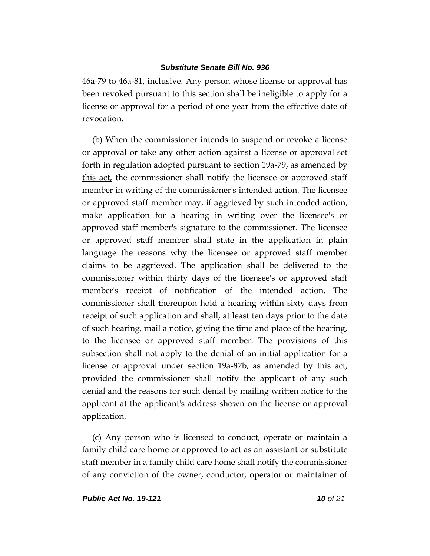46a-79 to 46a-81, inclusive. Any person whose license or approval has been revoked pursuant to this section shall be ineligible to apply for a license or approval for a period of one year from the effective date of revocation.

(b) When the commissioner intends to suspend or revoke a license or approval or take any other action against a license or approval set forth in regulation adopted pursuant to section 19a-79, as amended by this act, the commissioner shall notify the licensee or approved staff member in writing of the commissioner's intended action. The licensee or approved staff member may, if aggrieved by such intended action, make application for a hearing in writing over the licensee's or approved staff member's signature to the commissioner. The licensee or approved staff member shall state in the application in plain language the reasons why the licensee or approved staff member claims to be aggrieved. The application shall be delivered to the commissioner within thirty days of the licensee's or approved staff member's receipt of notification of the intended action. The commissioner shall thereupon hold a hearing within sixty days from receipt of such application and shall, at least ten days prior to the date of such hearing, mail a notice, giving the time and place of the hearing, to the licensee or approved staff member. The provisions of this subsection shall not apply to the denial of an initial application for a license or approval under section 19a-87b, as amended by this act, provided the commissioner shall notify the applicant of any such denial and the reasons for such denial by mailing written notice to the applicant at the applicant's address shown on the license or approval application.

(c) Any person who is licensed to conduct, operate or maintain a family child care home or approved to act as an assistant or substitute staff member in a family child care home shall notify the commissioner of any conviction of the owner, conductor, operator or maintainer of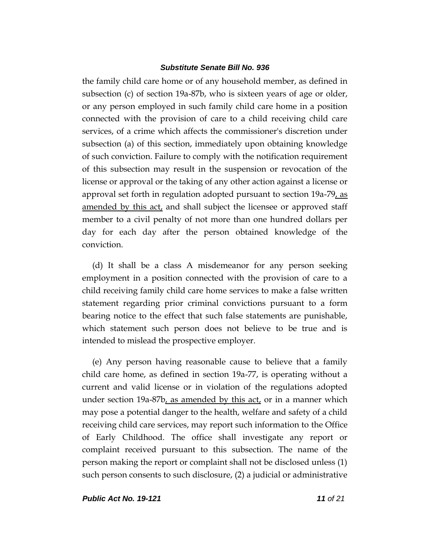the family child care home or of any household member, as defined in subsection (c) of section 19a-87b, who is sixteen years of age or older, or any person employed in such family child care home in a position connected with the provision of care to a child receiving child care services, of a crime which affects the commissioner's discretion under subsection (a) of this section, immediately upon obtaining knowledge of such conviction. Failure to comply with the notification requirement of this subsection may result in the suspension or revocation of the license or approval or the taking of any other action against a license or approval set forth in regulation adopted pursuant to section 19a-79, as amended by this act, and shall subject the licensee or approved staff member to a civil penalty of not more than one hundred dollars per day for each day after the person obtained knowledge of the conviction.

(d) It shall be a class A misdemeanor for any person seeking employment in a position connected with the provision of care to a child receiving family child care home services to make a false written statement regarding prior criminal convictions pursuant to a form bearing notice to the effect that such false statements are punishable, which statement such person does not believe to be true and is intended to mislead the prospective employer.

(e) Any person having reasonable cause to believe that a family child care home, as defined in section 19a-77, is operating without a current and valid license or in violation of the regulations adopted under section 19a-87b, as amended by this act, or in a manner which may pose a potential danger to the health, welfare and safety of a child receiving child care services, may report such information to the Office of Early Childhood. The office shall investigate any report or complaint received pursuant to this subsection. The name of the person making the report or complaint shall not be disclosed unless (1) such person consents to such disclosure, (2) a judicial or administrative

*Public Act No. 19-121 11 of 21*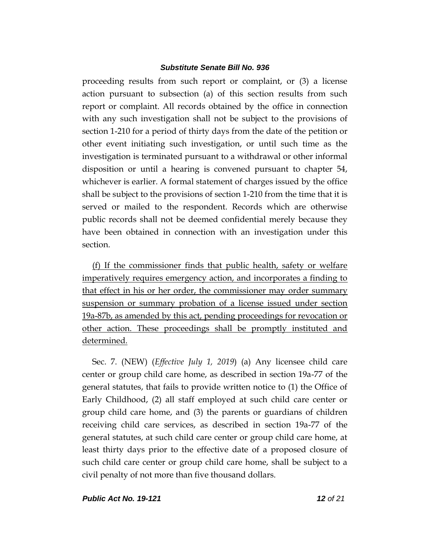proceeding results from such report or complaint, or (3) a license action pursuant to subsection (a) of this section results from such report or complaint. All records obtained by the office in connection with any such investigation shall not be subject to the provisions of section 1-210 for a period of thirty days from the date of the petition or other event initiating such investigation, or until such time as the investigation is terminated pursuant to a withdrawal or other informal disposition or until a hearing is convened pursuant to chapter 54, whichever is earlier. A formal statement of charges issued by the office shall be subject to the provisions of section 1-210 from the time that it is served or mailed to the respondent. Records which are otherwise public records shall not be deemed confidential merely because they have been obtained in connection with an investigation under this section.

(f) If the commissioner finds that public health, safety or welfare imperatively requires emergency action, and incorporates a finding to that effect in his or her order, the commissioner may order summary suspension or summary probation of a license issued under section 19a-87b, as amended by this act, pending proceedings for revocation or other action. These proceedings shall be promptly instituted and determined.

Sec. 7. (NEW) (*Effective July 1, 2019*) (a) Any licensee child care center or group child care home, as described in section 19a-77 of the general statutes, that fails to provide written notice to (1) the Office of Early Childhood, (2) all staff employed at such child care center or group child care home, and (3) the parents or guardians of children receiving child care services, as described in section 19a-77 of the general statutes, at such child care center or group child care home, at least thirty days prior to the effective date of a proposed closure of such child care center or group child care home, shall be subject to a civil penalty of not more than five thousand dollars.

*Public Act No. 19-121 12 of 21*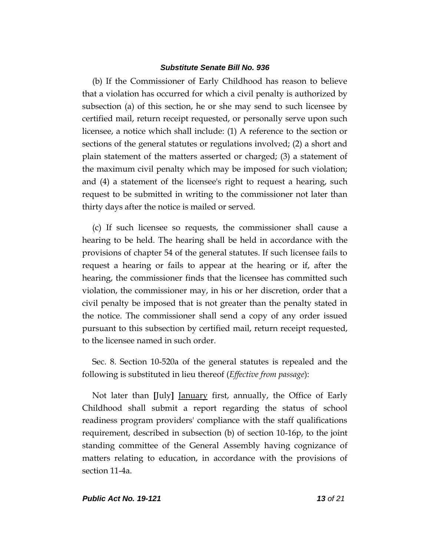(b) If the Commissioner of Early Childhood has reason to believe that a violation has occurred for which a civil penalty is authorized by subsection (a) of this section, he or she may send to such licensee by certified mail, return receipt requested, or personally serve upon such licensee, a notice which shall include: (1) A reference to the section or sections of the general statutes or regulations involved; (2) a short and plain statement of the matters asserted or charged; (3) a statement of the maximum civil penalty which may be imposed for such violation; and (4) a statement of the licensee's right to request a hearing, such request to be submitted in writing to the commissioner not later than thirty days after the notice is mailed or served.

(c) If such licensee so requests, the commissioner shall cause a hearing to be held. The hearing shall be held in accordance with the provisions of chapter 54 of the general statutes. If such licensee fails to request a hearing or fails to appear at the hearing or if, after the hearing, the commissioner finds that the licensee has committed such violation, the commissioner may, in his or her discretion, order that a civil penalty be imposed that is not greater than the penalty stated in the notice. The commissioner shall send a copy of any order issued pursuant to this subsection by certified mail, return receipt requested, to the licensee named in such order.

Sec. 8. Section 10-520a of the general statutes is repealed and the following is substituted in lieu thereof (*Effective from passage*):

Not later than **[**July**]** January first, annually, the Office of Early Childhood shall submit a report regarding the status of school readiness program providers' compliance with the staff qualifications requirement, described in subsection (b) of section 10-16p, to the joint standing committee of the General Assembly having cognizance of matters relating to education, in accordance with the provisions of section 11-4a.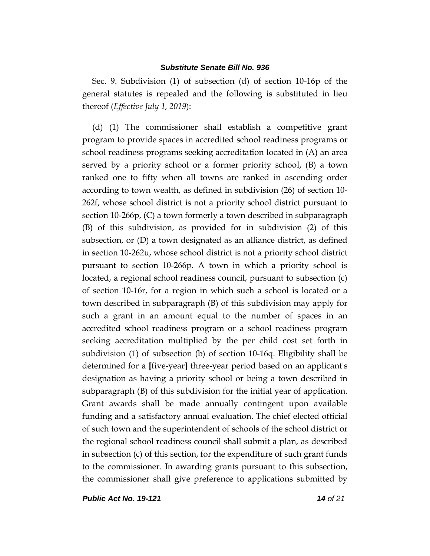Sec. 9. Subdivision (1) of subsection (d) of section 10-16p of the general statutes is repealed and the following is substituted in lieu thereof (*Effective July 1, 2019*):

(d) (1) The commissioner shall establish a competitive grant program to provide spaces in accredited school readiness programs or school readiness programs seeking accreditation located in (A) an area served by a priority school or a former priority school, (B) a town ranked one to fifty when all towns are ranked in ascending order according to town wealth, as defined in subdivision (26) of section 10- 262f, whose school district is not a priority school district pursuant to section 10-266p, (C) a town formerly a town described in subparagraph (B) of this subdivision, as provided for in subdivision (2) of this subsection, or (D) a town designated as an alliance district, as defined in section 10-262u, whose school district is not a priority school district pursuant to section 10-266p. A town in which a priority school is located, a regional school readiness council, pursuant to subsection (c) of section 10-16r, for a region in which such a school is located or a town described in subparagraph (B) of this subdivision may apply for such a grant in an amount equal to the number of spaces in an accredited school readiness program or a school readiness program seeking accreditation multiplied by the per child cost set forth in subdivision (1) of subsection (b) of section 10-16q. Eligibility shall be determined for a **[**five-year**]** three-year period based on an applicant's designation as having a priority school or being a town described in subparagraph (B) of this subdivision for the initial year of application. Grant awards shall be made annually contingent upon available funding and a satisfactory annual evaluation. The chief elected official of such town and the superintendent of schools of the school district or the regional school readiness council shall submit a plan, as described in subsection (c) of this section, for the expenditure of such grant funds to the commissioner. In awarding grants pursuant to this subsection, the commissioner shall give preference to applications submitted by

*Public Act No. 19-121 14 of 21*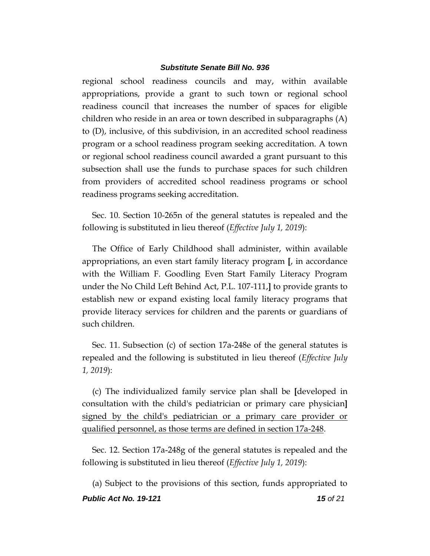regional school readiness councils and may, within available appropriations, provide a grant to such town or regional school readiness council that increases the number of spaces for eligible children who reside in an area or town described in subparagraphs (A) to (D), inclusive, of this subdivision, in an accredited school readiness program or a school readiness program seeking accreditation. A town or regional school readiness council awarded a grant pursuant to this subsection shall use the funds to purchase spaces for such children from providers of accredited school readiness programs or school readiness programs seeking accreditation.

Sec. 10. Section 10-265n of the general statutes is repealed and the following is substituted in lieu thereof (*Effective July 1, 2019*):

The Office of Early Childhood shall administer, within available appropriations, an even start family literacy program **[**, in accordance with the William F. Goodling Even Start Family Literacy Program under the No Child Left Behind Act, P.L. 107-111,**]** to provide grants to establish new or expand existing local family literacy programs that provide literacy services for children and the parents or guardians of such children.

Sec. 11. Subsection (c) of section 17a-248e of the general statutes is repealed and the following is substituted in lieu thereof (*Effective July 1, 2019*):

(c) The individualized family service plan shall be **[**developed in consultation with the child's pediatrician or primary care physician**]** signed by the child's pediatrician or a primary care provider or qualified personnel, as those terms are defined in section 17a-248.

Sec. 12. Section 17a-248g of the general statutes is repealed and the following is substituted in lieu thereof (*Effective July 1, 2019*):

*Public Act No. 19-121 15 of 21* (a) Subject to the provisions of this section, funds appropriated to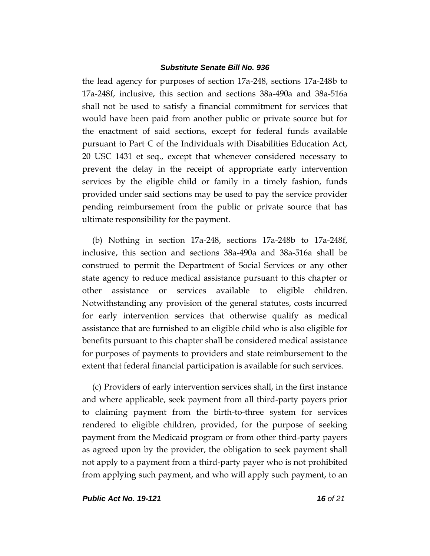the lead agency for purposes of section 17a-248, sections 17a-248b to 17a-248f, inclusive, this section and sections 38a-490a and 38a-516a shall not be used to satisfy a financial commitment for services that would have been paid from another public or private source but for the enactment of said sections, except for federal funds available pursuant to Part C of the Individuals with Disabilities Education Act, 20 USC 1431 et seq., except that whenever considered necessary to prevent the delay in the receipt of appropriate early intervention services by the eligible child or family in a timely fashion, funds provided under said sections may be used to pay the service provider pending reimbursement from the public or private source that has ultimate responsibility for the payment.

(b) Nothing in section 17a-248, sections 17a-248b to 17a-248f, inclusive, this section and sections 38a-490a and 38a-516a shall be construed to permit the Department of Social Services or any other state agency to reduce medical assistance pursuant to this chapter or other assistance or services available to eligible children. Notwithstanding any provision of the general statutes, costs incurred for early intervention services that otherwise qualify as medical assistance that are furnished to an eligible child who is also eligible for benefits pursuant to this chapter shall be considered medical assistance for purposes of payments to providers and state reimbursement to the extent that federal financial participation is available for such services.

(c) Providers of early intervention services shall, in the first instance and where applicable, seek payment from all third-party payers prior to claiming payment from the birth-to-three system for services rendered to eligible children, provided, for the purpose of seeking payment from the Medicaid program or from other third-party payers as agreed upon by the provider, the obligation to seek payment shall not apply to a payment from a third-party payer who is not prohibited from applying such payment, and who will apply such payment, to an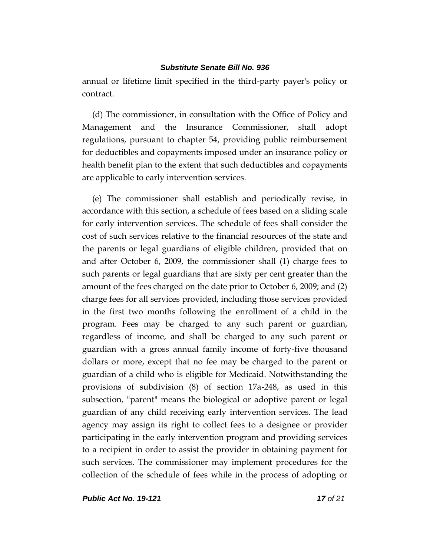annual or lifetime limit specified in the third-party payer's policy or contract.

(d) The commissioner, in consultation with the Office of Policy and Management and the Insurance Commissioner, shall adopt regulations, pursuant to chapter 54, providing public reimbursement for deductibles and copayments imposed under an insurance policy or health benefit plan to the extent that such deductibles and copayments are applicable to early intervention services.

(e) The commissioner shall establish and periodically revise, in accordance with this section, a schedule of fees based on a sliding scale for early intervention services. The schedule of fees shall consider the cost of such services relative to the financial resources of the state and the parents or legal guardians of eligible children, provided that on and after October 6, 2009, the commissioner shall (1) charge fees to such parents or legal guardians that are sixty per cent greater than the amount of the fees charged on the date prior to October 6, 2009; and (2) charge fees for all services provided, including those services provided in the first two months following the enrollment of a child in the program. Fees may be charged to any such parent or guardian, regardless of income, and shall be charged to any such parent or guardian with a gross annual family income of forty-five thousand dollars or more, except that no fee may be charged to the parent or guardian of a child who is eligible for Medicaid. Notwithstanding the provisions of subdivision (8) of section 17a-248, as used in this subsection, "parent" means the biological or adoptive parent or legal guardian of any child receiving early intervention services. The lead agency may assign its right to collect fees to a designee or provider participating in the early intervention program and providing services to a recipient in order to assist the provider in obtaining payment for such services. The commissioner may implement procedures for the collection of the schedule of fees while in the process of adopting or

*Public Act No. 19-121 17 of 21*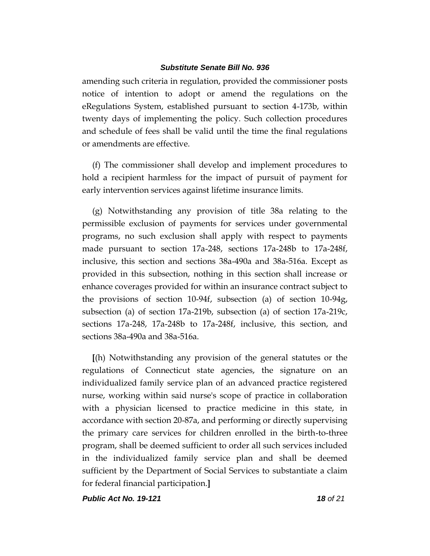amending such criteria in regulation, provided the commissioner posts notice of intention to adopt or amend the regulations on the eRegulations System, established pursuant to section 4-173b, within twenty days of implementing the policy. Such collection procedures and schedule of fees shall be valid until the time the final regulations or amendments are effective.

(f) The commissioner shall develop and implement procedures to hold a recipient harmless for the impact of pursuit of payment for early intervention services against lifetime insurance limits.

(g) Notwithstanding any provision of title 38a relating to the permissible exclusion of payments for services under governmental programs, no such exclusion shall apply with respect to payments made pursuant to section 17a-248, sections 17a-248b to 17a-248f, inclusive, this section and sections 38a-490a and 38a-516a. Except as provided in this subsection, nothing in this section shall increase or enhance coverages provided for within an insurance contract subject to the provisions of section 10-94f, subsection (a) of section 10-94g, subsection (a) of section 17a-219b, subsection (a) of section 17a-219c, sections 17a-248, 17a-248b to 17a-248f, inclusive, this section, and sections 38a-490a and 38a-516a.

**[**(h) Notwithstanding any provision of the general statutes or the regulations of Connecticut state agencies, the signature on an individualized family service plan of an advanced practice registered nurse, working within said nurse's scope of practice in collaboration with a physician licensed to practice medicine in this state, in accordance with section 20-87a, and performing or directly supervising the primary care services for children enrolled in the birth-to-three program, shall be deemed sufficient to order all such services included in the individualized family service plan and shall be deemed sufficient by the Department of Social Services to substantiate a claim for federal financial participation.**]**

*Public Act No. 19-121 18 of 21*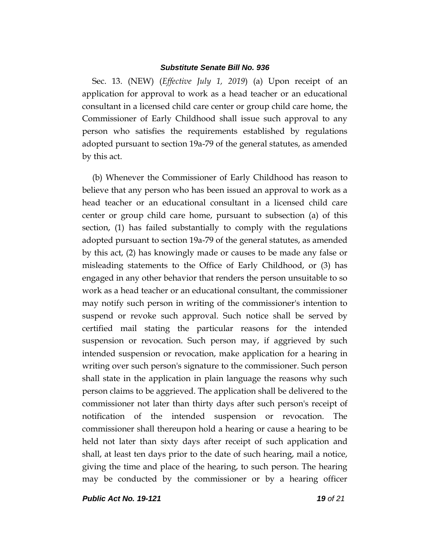Sec. 13. (NEW) (*Effective July 1, 2019*) (a) Upon receipt of an application for approval to work as a head teacher or an educational consultant in a licensed child care center or group child care home, the Commissioner of Early Childhood shall issue such approval to any person who satisfies the requirements established by regulations adopted pursuant to section 19a-79 of the general statutes, as amended by this act.

(b) Whenever the Commissioner of Early Childhood has reason to believe that any person who has been issued an approval to work as a head teacher or an educational consultant in a licensed child care center or group child care home, pursuant to subsection (a) of this section, (1) has failed substantially to comply with the regulations adopted pursuant to section 19a-79 of the general statutes, as amended by this act, (2) has knowingly made or causes to be made any false or misleading statements to the Office of Early Childhood, or (3) has engaged in any other behavior that renders the person unsuitable to so work as a head teacher or an educational consultant, the commissioner may notify such person in writing of the commissioner's intention to suspend or revoke such approval. Such notice shall be served by certified mail stating the particular reasons for the intended suspension or revocation. Such person may, if aggrieved by such intended suspension or revocation, make application for a hearing in writing over such person's signature to the commissioner. Such person shall state in the application in plain language the reasons why such person claims to be aggrieved. The application shall be delivered to the commissioner not later than thirty days after such person's receipt of notification of the intended suspension or revocation. The commissioner shall thereupon hold a hearing or cause a hearing to be held not later than sixty days after receipt of such application and shall, at least ten days prior to the date of such hearing, mail a notice, giving the time and place of the hearing, to such person. The hearing may be conducted by the commissioner or by a hearing officer

*Public Act No. 19-121 19 of 21*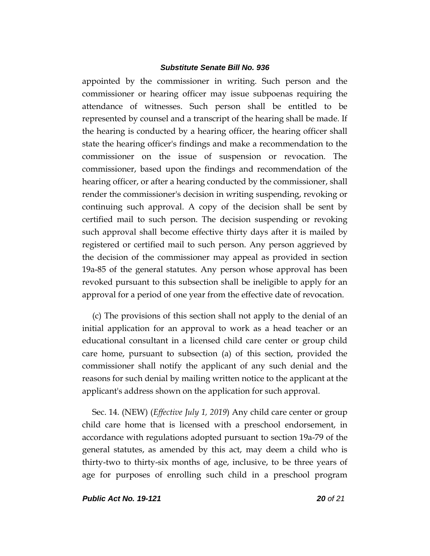appointed by the commissioner in writing. Such person and the commissioner or hearing officer may issue subpoenas requiring the attendance of witnesses. Such person shall be entitled to be represented by counsel and a transcript of the hearing shall be made. If the hearing is conducted by a hearing officer, the hearing officer shall state the hearing officer's findings and make a recommendation to the commissioner on the issue of suspension or revocation. The commissioner, based upon the findings and recommendation of the hearing officer, or after a hearing conducted by the commissioner, shall render the commissioner's decision in writing suspending, revoking or continuing such approval. A copy of the decision shall be sent by certified mail to such person. The decision suspending or revoking such approval shall become effective thirty days after it is mailed by registered or certified mail to such person. Any person aggrieved by the decision of the commissioner may appeal as provided in section 19a-85 of the general statutes. Any person whose approval has been revoked pursuant to this subsection shall be ineligible to apply for an approval for a period of one year from the effective date of revocation.

(c) The provisions of this section shall not apply to the denial of an initial application for an approval to work as a head teacher or an educational consultant in a licensed child care center or group child care home, pursuant to subsection (a) of this section, provided the commissioner shall notify the applicant of any such denial and the reasons for such denial by mailing written notice to the applicant at the applicant's address shown on the application for such approval.

Sec. 14. (NEW) (*Effective July 1, 2019*) Any child care center or group child care home that is licensed with a preschool endorsement, in accordance with regulations adopted pursuant to section 19a-79 of the general statutes, as amended by this act, may deem a child who is thirty-two to thirty-six months of age, inclusive, to be three years of age for purposes of enrolling such child in a preschool program